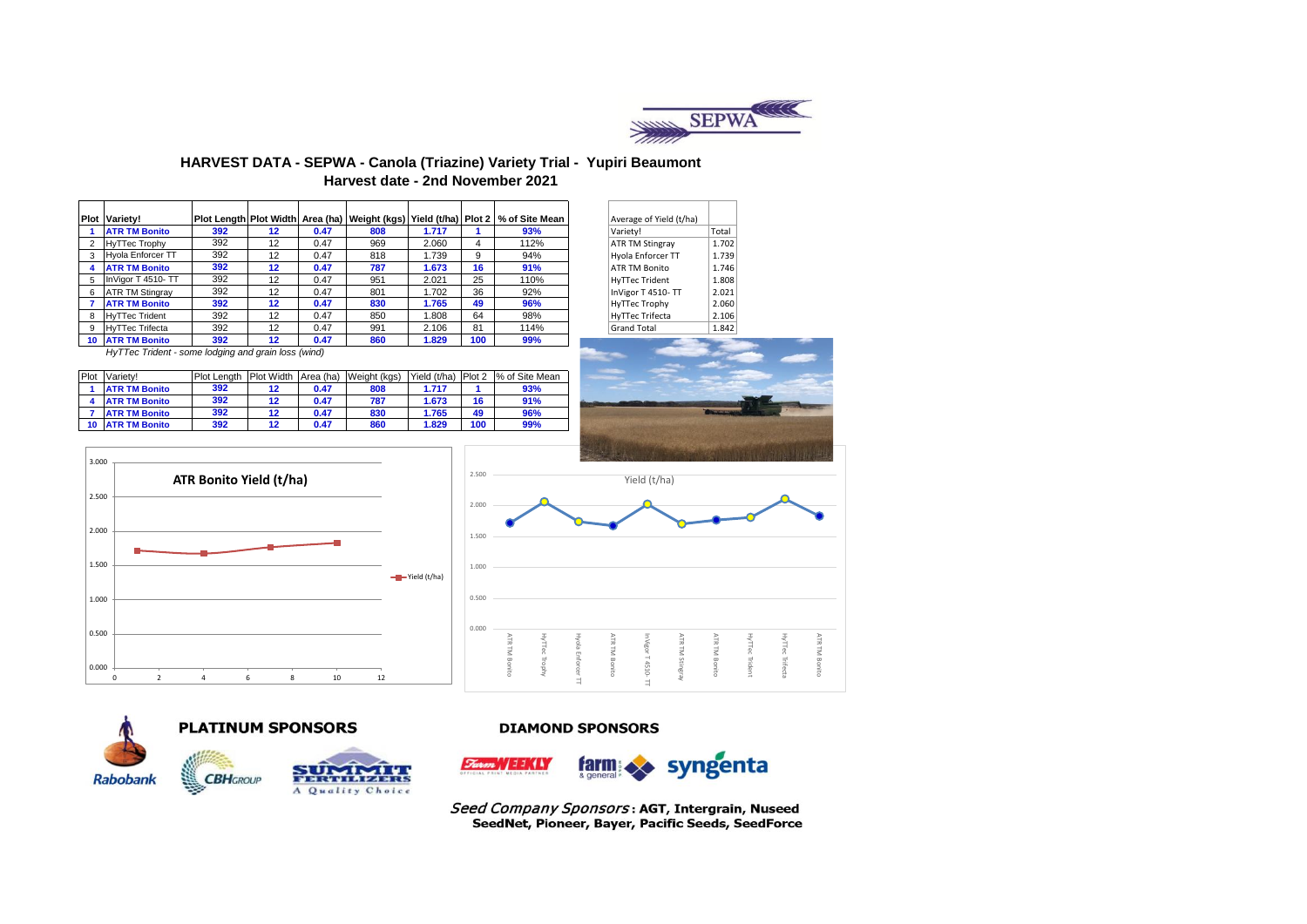

### **HARVEST DATA - SEPWA - Canola (Triazine) Variety Trial - Yupiri Beaumont Harvest date - 2nd November 2021**

|    | <b>Plot Variety!</b>     |     |                   |      | Plot Length Plot Width Area (ha)   Weight (kgs)   Yield (t/ha)   Plot 2 |       |     | % of Site Mean | Average of Yield (t/ha) |       |
|----|--------------------------|-----|-------------------|------|-------------------------------------------------------------------------|-------|-----|----------------|-------------------------|-------|
|    | <b>ATR TM Bonito</b>     | 392 | $12 \overline{ }$ | 0.47 | 808                                                                     | 1.717 |     | 93%            | Variety!                | Total |
|    | <b>HyTTec Trophy</b>     | 392 | 12                | 0.47 | 969                                                                     | 2.060 | 4   | 112%           | <b>ATR TM Stingray</b>  | 1.702 |
|    | <b>Hyola Enforcer TT</b> | 392 | 12                | 0.47 | 818                                                                     | 1.739 | 9   | 94%            | Hyola Enforcer TT       | 1.739 |
|    | <b>ATR TM Bonito</b>     | 392 | 12                | 0.47 | 787                                                                     | 1.673 | 16  | 91%            | <b>ATR TM Bonito</b>    | 1.746 |
|    | InVigor T 4510-TT        | 392 | 12                | 0.47 | 951                                                                     | 2.021 | 25  | 110%           | HyTTec Trident          | 1.808 |
|    | <b>ATR TM Stingrav</b>   | 392 | 12                | 0.47 | 801                                                                     | 1.702 | 36  | 92%            | InVigor T 4510-TT       | 2.021 |
|    | <b>ATR TM Bonito</b>     | 392 | 12                | 0.47 | 830                                                                     | 1.765 | 49  | 96%            | HyTTec Trophy           | 2.060 |
|    | <b>HyTTec Trident</b>    | 392 | 12                | 0.47 | 850                                                                     | 1.808 | 64  | 98%            | HyTTec Trifecta         | 2.106 |
| 9  | <b>HyTTec Trifecta</b>   | 392 | 12                | 0.47 | 991                                                                     | 2.106 | 81  | 114%           | <b>Grand Total</b>      | 1.842 |
| 10 | <b>ATR TM Bonito</b>     | 392 | $12 \,$           | 0.47 | 860                                                                     | 1.829 | 100 | 99%            |                         |       |

| Average of Yield (t/ha) |       |
|-------------------------|-------|
| Variety!                | Total |
| <b>ATR TM Stingray</b>  | 1.702 |
| Hyola Enforcer TT       | 1.739 |
| <b>ATR TM Bonito</b>    | 1.746 |
| <b>HyTTec Trident</b>   | 1.808 |
| InVigor T 4510-TT       | 2.021 |
| <b>HyTTec Trophy</b>    | 2.060 |
| <b>HyTTec Trifecta</b>  | 2.106 |
| <b>Grand Total</b>      | 1.842 |

*HyTTec Trident - some lodging and grain loss (wind)*

| Plot | Varietv!             | <b>Plot Lenath</b> | <b>Plot Width</b> | Area (ha) | Weight (kgs) | Yield (t/ha) | Plot 2 | % of Site Mean |
|------|----------------------|--------------------|-------------------|-----------|--------------|--------------|--------|----------------|
|      | <b>ATR TM Bonito</b> | 392                | 12                | 0.47      | 808          | 1.717        |        | 93%            |
|      | <b>ATR TM Bonito</b> | 392                | 12                | 0.47      | 787          | 1.673        | 16     | 91%            |
|      | <b>ATR TM Bonito</b> | 392                | 12                | 0.47      | 830          | 1.765        | 49     | 96%            |
| 10   | <b>ATR TM Bonito</b> | 392                | 12                | 0.47      | 860          | 1.829        | 100    | 99%            |









### **PLATINUM SPONSORS**

**CBH**GROUP



#### **DIAMOND SPONSORS**



Seed Company Sponsors: AGT, Intergrain, Nuseed SeedNet, Pioneer, Bayer, Pacific Seeds, SeedForce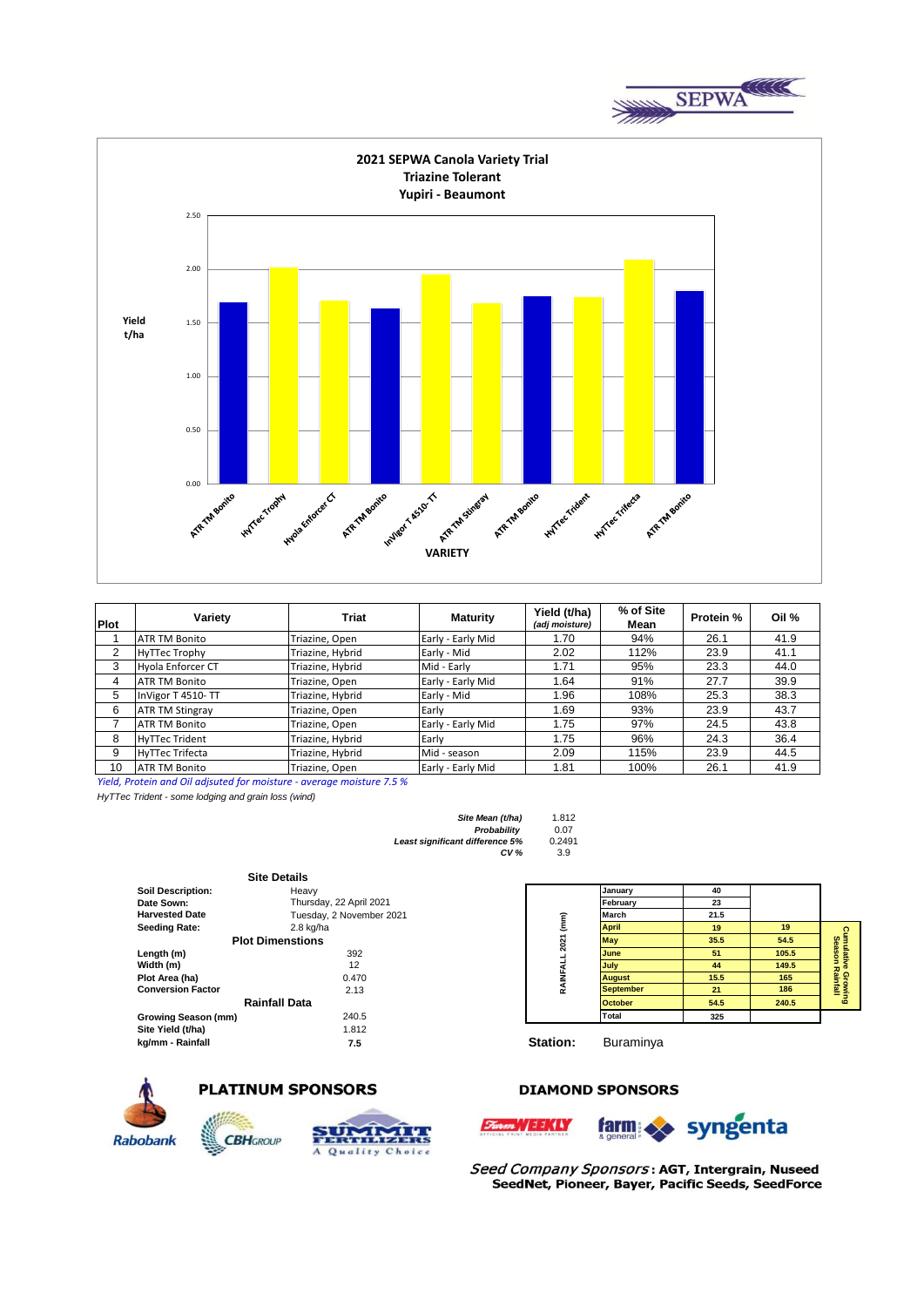



| <b>Plot</b> | Variety                  | <b>Triat</b>     | <b>Maturity</b>   | Yield (t/ha)<br>(adj moisture) | % of Site<br>Mean | Protein % | Oil % |
|-------------|--------------------------|------------------|-------------------|--------------------------------|-------------------|-----------|-------|
|             | <b>ATR TM Bonito</b>     | Triazine, Open   | Early - Early Mid | 1.70                           | 94%               | 26.1      | 41.9  |
| 2           | <b>HyTTec Trophy</b>     | Triazine, Hybrid | Early - Mid       | 2.02                           | 112%              | 23.9      | 41.1  |
| 3           | <b>Hyola Enforcer CT</b> | Triazine, Hybrid | Mid - Early       | 1.71                           | 95%               | 23.3      | 44.0  |
| 4           | <b>ATR TM Bonito</b>     | Triazine, Open   | Early - Early Mid | I.64                           | 91%               | 27.7      | 39.9  |
| 5           | InVigor T 4510-TT        | Triazine, Hybrid | Early - Mid       | l.96                           | 108%              | 25.3      | 38.3  |
| 6           | <b>ATR TM Stingray</b>   | Triazine, Open   | Early             | 1.69                           | 93%               | 23.9      | 43.7  |
|             | <b>ATR TM Bonito</b>     | Triazine, Open   | Early - Early Mid | 1.75                           | 97%               | 24.5      | 43.8  |
| 8           | <b>HyTTec Trident</b>    | Triazine, Hybrid | Early             | 1.75                           | 96%               | 24.3      | 36.4  |
| 9           | <b>HyTTec Trifecta</b>   | Triazine, Hybrid | Mid - season      | 2.09                           | 115%              | 23.9      | 44.5  |
| 10          | <b>ATR TM Bonito</b>     | Triazine, Open   | Early - Early Mid | 1.81                           | 100%              | 26.1      | 41.9  |

*Yield, Protein and Oil adjsuted for moisture - average moisture 7.5 %*

*HyTTec Trident - some lodging and grain loss (wind)*

| Site Mean (t/ha)                       | 1.812  |
|----------------------------------------|--------|
| Probability                            | 0.07   |
| <b>Least significant difference 5%</b> | 0.2491 |
| CV <sub>6</sub>                        | 3.9    |

|                          | <b>Site Details</b>      |          |                  |      |       |
|--------------------------|--------------------------|----------|------------------|------|-------|
| <b>Soil Description:</b> | Heavy                    |          | January          | 40   |       |
| Date Sown:               | Thursday, 22 April 2021  |          | February         | 23   |       |
| <b>Harvested Date</b>    | Tuesday, 2 November 2021 |          | March            | 21.5 |       |
| <b>Seeding Rate:</b>     | 2.8 kg/ha                | (mm)     | <b>April</b>     | 19   | 19    |
|                          | <b>Plot Dimenstions</b>  | 2021     | <b>May</b>       | 35.5 | 54.5  |
| Length (m)               | 392                      |          | June             | 51   | 105.5 |
| Width (m)                | 12                       |          | July             | 44   | 149.5 |
| Plot Area (ha)           | 0.470                    | RAINFAL  | <b>August</b>    | 15.5 | 165   |
| <b>Conversion Factor</b> | 2.13                     |          | <b>September</b> | 21   | 186   |
|                          | <b>Rainfall Data</b>     |          | <b>October</b>   | 54.5 | 240.5 |
| Growing Season (mm)      | 240.5                    |          | Total            | 325  |       |
| Site Yield (t/ha)        | 1.812                    |          |                  |      |       |
| kg/mm - Rainfall         | 7.5                      | Station: | Buraminya        |      |       |



## **PLATINUM SPONSORS**

**CBH**GROUP



# **DIAMOND SPONSORS**

 $\sim$  //EEKLY



**Cumulative Growing Season Rainfall**

umulative Growing<br>Season Rainfall

Seed Company Sponsors: AGT, Intergrain, Nuseed SeedNet, Pioneer, Bayer, Pacific Seeds, SeedForce